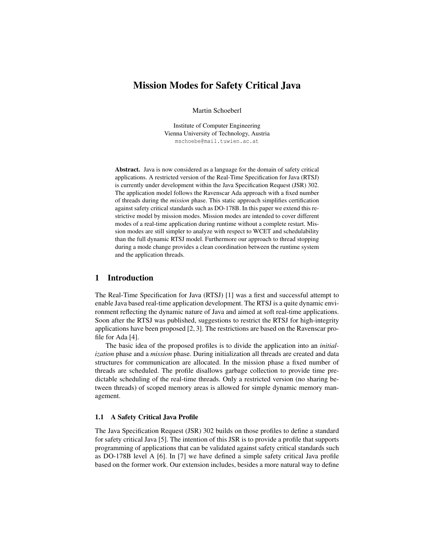# Mission Modes for Safety Critical Java

Martin Schoeberl

Institute of Computer Engineering Vienna University of Technology, Austria mschoebe@mail.tuwien.ac.at

Abstract. Java is now considered as a language for the domain of safety critical applications. A restricted version of the Real-Time Specification for Java (RTSJ) is currently under development within the Java Specification Request (JSR) 302. The application model follows the Ravenscar Ada approach with a fixed number of threads during the *mission* phase. This static approach simplifies certification against safety critical standards such as DO-178B. In this paper we extend this restrictive model by mission modes. Mission modes are intended to cover different modes of a real-time application during runtime without a complete restart. Mission modes are still simpler to analyze with respect to WCET and schedulability than the full dynamic RTSJ model. Furthermore our approach to thread stopping during a mode change provides a clean coordination between the runtime system and the application threads.

# 1 Introduction

The Real-Time Specification for Java (RTSJ) [1] was a first and successful attempt to enable Java based real-time application development. The RTSJ is a quite dynamic environment reflecting the dynamic nature of Java and aimed at soft real-time applications. Soon after the RTSJ was published, suggestions to restrict the RTSJ for high-integrity applications have been proposed [2, 3]. The restrictions are based on the Ravenscar profile for Ada [4].

The basic idea of the proposed profiles is to divide the application into an *initialization* phase and a *mission* phase. During initialization all threads are created and data structures for communication are allocated. In the mission phase a fixed number of threads are scheduled. The profile disallows garbage collection to provide time predictable scheduling of the real-time threads. Only a restricted version (no sharing between threads) of scoped memory areas is allowed for simple dynamic memory management.

### 1.1 A Safety Critical Java Profile

The Java Specification Request (JSR) 302 builds on those profiles to define a standard for safety critical Java [5]. The intention of this JSR is to provide a profile that supports programming of applications that can be validated against safety critical standards such as DO-178B level A [6]. In [7] we have defined a simple safety critical Java profile based on the former work. Our extension includes, besides a more natural way to define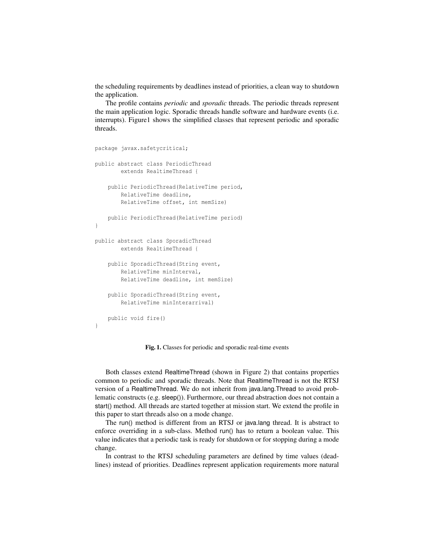the scheduling requirements by deadlines instead of priorities, a clean way to shutdown the application.

The profile contains *periodic* and *sporadic* threads. The periodic threads represent the main application logic. Sporadic threads handle software and hardware events (i.e. interrupts). Figure1 shows the simplified classes that represent periodic and sporadic threads.

```
package javax.safetycritical;
public abstract class PeriodicThread
       extends RealtimeThread {
    public PeriodicThread(RelativeTime period,
       RelativeTime deadline,
       RelativeTime offset, int memSize)
    public PeriodicThread(RelativeTime period)
}
public abstract class SporadicThread
        extends RealtimeThread {
    public SporadicThread(String event,
       RelativeTime minInterval,
       RelativeTime deadline, int memSize)
    public SporadicThread(String event,
       RelativeTime minInterarrival)
   public void fire()
}
```
Fig. 1. Classes for periodic and sporadic real-time events

Both classes extend RealtimeThread (shown in Figure 2) that contains properties common to periodic and sporadic threads. Note that RealtimeThread is not the RTSJ version of a RealtimeThread. We do not inherit from java.lang.Thread to avoid problematic constructs (e.g. sleep()). Furthermore, our thread abstraction does not contain a start() method. All threads are started together at mission start. We extend the profile in this paper to start threads also on a mode change.

The run() method is different from an RTSJ or java.lang thread. It is abstract to enforce overriding in a sub-class. Method run() has to return a boolean value. This value indicates that a periodic task is ready for shutdown or for stopping during a mode change.

In contrast to the RTSJ scheduling parameters are defined by time values (deadlines) instead of priorities. Deadlines represent application requirements more natural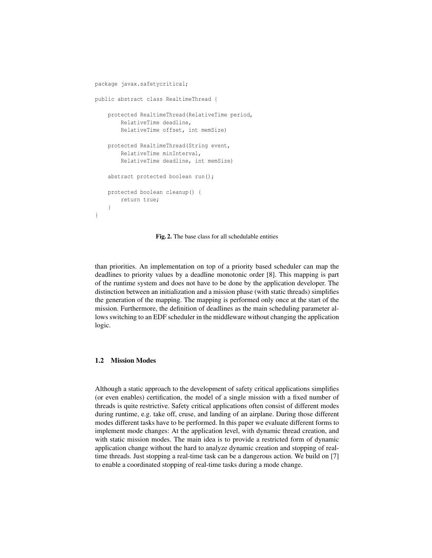```
package javax.safetycritical;
public abstract class RealtimeThread {
    protected RealtimeThread(RelativeTime period,
       RelativeTime deadline,
       RelativeTime offset, int memSize)
    protected RealtimeThread(String event,
       RelativeTime minInterval,
       RelativeTime deadline, int memSize)
    abstract protected boolean run();
   protected boolean cleanup() {
       return true;
    }
}
```
Fig. 2. The base class for all schedulable entities

than priorities. An implementation on top of a priority based scheduler can map the deadlines to priority values by a deadline monotonic order [8]. This mapping is part of the runtime system and does not have to be done by the application developer. The distinction between an initialization and a mission phase (with static threads) simplifies the generation of the mapping. The mapping is performed only once at the start of the mission. Furthermore, the definition of deadlines as the main scheduling parameter allows switching to an EDF scheduler in the middleware without changing the application logic.

## 1.2 Mission Modes

Although a static approach to the development of safety critical applications simplifies (or even enables) certification, the model of a single mission with a fixed number of threads is quite restrictive. Safety critical applications often consist of different modes during runtime, e.g. take off, cruse, and landing of an airplane. During those different modes different tasks have to be performed. In this paper we evaluate different forms to implement mode changes: At the application level, with dynamic thread creation, and with static mission modes. The main idea is to provide a restricted form of dynamic application change without the hard to analyze dynamic creation and stopping of realtime threads. Just stopping a real-time task can be a dangerous action. We build on [7] to enable a coordinated stopping of real-time tasks during a mode change.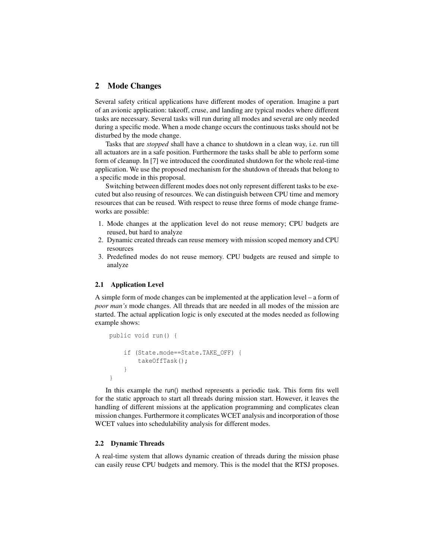# 2 Mode Changes

Several safety critical applications have different modes of operation. Imagine a part of an avionic application: takeoff, cruse, and landing are typical modes where different tasks are necessary. Several tasks will run during all modes and several are only needed during a specific mode. When a mode change occurs the continuous tasks should not be disturbed by the mode change.

Tasks that are *stopped* shall have a chance to shutdown in a clean way, i.e. run till all actuators are in a safe position. Furthermore the tasks shall be able to perform some form of cleanup. In [7] we introduced the coordinated shutdown for the whole real-time application. We use the proposed mechanism for the shutdown of threads that belong to a specific mode in this proposal.

Switching between different modes does not only represent different tasks to be executed but also reusing of resources. We can distinguish between CPU time and memory resources that can be reused. With respect to reuse three forms of mode change frameworks are possible:

- 1. Mode changes at the application level do not reuse memory; CPU budgets are reused, but hard to analyze
- 2. Dynamic created threads can reuse memory with mission scoped memory and CPU resources
- 3. Predefined modes do not reuse memory. CPU budgets are reused and simple to analyze

#### 2.1 Application Level

A simple form of mode changes can be implemented at the application level – a form of *poor man's* mode changes. All threads that are needed in all modes of the mission are started. The actual application logic is only executed at the modes needed as following example shows:

```
public void run() {
    if (State.mode==State.TAKE_OFF) {
        takeOffTask();
    }
}
```
In this example the run() method represents a periodic task. This form fits well for the static approach to start all threads during mission start. However, it leaves the handling of different missions at the application programming and complicates clean mission changes. Furthermore it complicates WCET analysis and incorporation of those WCET values into schedulability analysis for different modes.

#### 2.2 Dynamic Threads

A real-time system that allows dynamic creation of threads during the mission phase can easily reuse CPU budgets and memory. This is the model that the RTSJ proposes.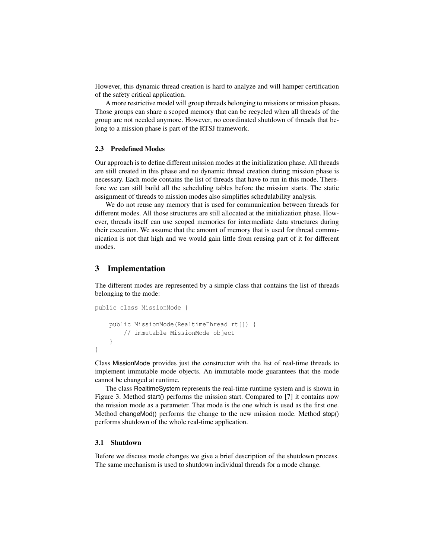However, this dynamic thread creation is hard to analyze and will hamper certification of the safety critical application.

A more restrictive model will group threads belonging to missions or mission phases. Those groups can share a scoped memory that can be recycled when all threads of the group are not needed anymore. However, no coordinated shutdown of threads that belong to a mission phase is part of the RTSJ framework.

## 2.3 Predefined Modes

Our approach is to define different mission modes at the initialization phase. All threads are still created in this phase and no dynamic thread creation during mission phase is necessary. Each mode contains the list of threads that have to run in this mode. Therefore we can still build all the scheduling tables before the mission starts. The static assignment of threads to mission modes also simplifies schedulability analysis.

We do not reuse any memory that is used for communication between threads for different modes. All those structures are still allocated at the initialization phase. However, threads itself can use scoped memories for intermediate data structures during their execution. We assume that the amount of memory that is used for thread communication is not that high and we would gain little from reusing part of it for different modes.

# 3 Implementation

The different modes are represented by a simple class that contains the list of threads belonging to the mode:

```
public class MissionMode {
    public MissionMode(RealtimeThread rt[]) {
        // immutable MissionMode object
    }
}
```
Class MissionMode provides just the constructor with the list of real-time threads to implement immutable mode objects. An immutable mode guarantees that the mode cannot be changed at runtime.

The class RealtimeSystem represents the real-time runtime system and is shown in Figure 3. Method start() performs the mission start. Compared to [7] it contains now the mission mode as a parameter. That mode is the one which is used as the first one. Method changeMod() performs the change to the new mission mode. Method stop() performs shutdown of the whole real-time application.

## 3.1 Shutdown

Before we discuss mode changes we give a brief description of the shutdown process. The same mechanism is used to shutdown individual threads for a mode change.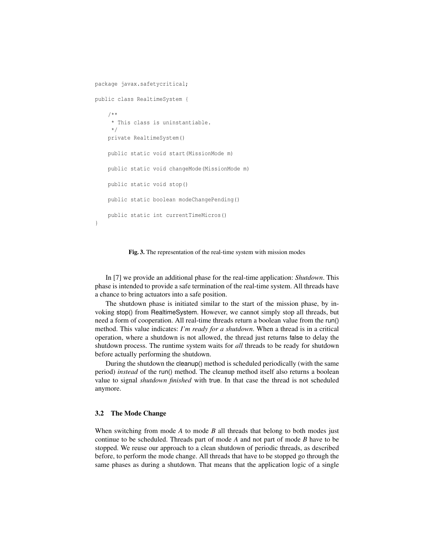```
package javax.safetycritical;
public class RealtimeSystem {
    /**
    * This class is uninstantiable.
     */
    private RealtimeSystem()
    public static void start(MissionMode m)
    public static void changeMode(MissionMode m)
    public static void stop()
    public static boolean modeChangePending()
    public static int currentTimeMicros()
}
```
Fig. 3. The representation of the real-time system with mission modes

In [7] we provide an additional phase for the real-time application: *Shutdown*. This phase is intended to provide a safe termination of the real-time system. All threads have a chance to bring actuators into a safe position.

The shutdown phase is initiated similar to the start of the mission phase, by invoking stop() from RealtimeSystem. However, we cannot simply stop all threads, but need a form of cooperation. All real-time threads return a boolean value from the run() method. This value indicates: *I'm ready for a shutdown*. When a thread is in a critical operation, where a shutdown is not allowed, the thread just returns false to delay the shutdown process. The runtime system waits for *all* threads to be ready for shutdown before actually performing the shutdown.

During the shutdown the cleanup() method is scheduled periodically (with the same period) *instead* of the run() method. The cleanup method itself also returns a boolean value to signal *shutdown finished* with true. In that case the thread is not scheduled anymore.

# 3.2 The Mode Change

When switching from mode *A* to mode *B* all threads that belong to both modes just continue to be scheduled. Threads part of mode *A* and not part of mode *B* have to be stopped. We reuse our approach to a clean shutdown of periodic threads, as described before, to perform the mode change. All threads that have to be stopped go through the same phases as during a shutdown. That means that the application logic of a single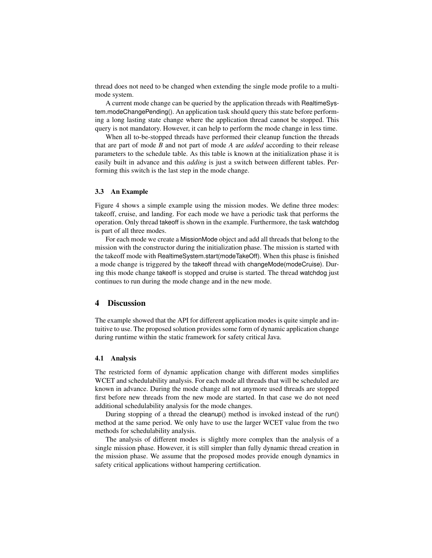thread does not need to be changed when extending the single mode profile to a multimode system.

A current mode change can be queried by the application threads with RealtimeSystem.modeChangePending(). An application task should query this state before performing a long lasting state change where the application thread cannot be stopped. This query is not mandatory. However, it can help to perform the mode change in less time.

When all to-be-stopped threads have performed their cleanup function the threads that are part of mode *B* and not part of mode *A* are *added* according to their release parameters to the schedule table. As this table is known at the initialization phase it is easily built in advance and this *adding* is just a switch between different tables. Performing this switch is the last step in the mode change.

### 3.3 An Example

Figure 4 shows a simple example using the mission modes. We define three modes: takeoff, cruise, and landing. For each mode we have a periodic task that performs the operation. Only thread takeoff is shown in the example. Furthermore, the task watchdog is part of all three modes.

For each mode we create a MissionMode object and add all threads that belong to the mission with the constructor during the initialization phase. The mission is started with the takeoff mode with RealtimeSystem.start(modeTakeOff). When this phase is finished a mode change is triggered by the takeoff thread with changeMode(modeCruise). During this mode change takeoff is stopped and cruise is started. The thread watchdog just continues to run during the mode change and in the new mode.

## 4 Discussion

The example showed that the API for different application modes is quite simple and intuitive to use. The proposed solution provides some form of dynamic application change during runtime within the static framework for safety critical Java.

#### 4.1 Analysis

The restricted form of dynamic application change with different modes simplifies WCET and schedulability analysis. For each mode all threads that will be scheduled are known in advance. During the mode change all not anymore used threads are stopped first before new threads from the new mode are started. In that case we do not need additional schedulability analysis for the mode changes.

During stopping of a thread the cleanup() method is invoked instead of the run() method at the same period. We only have to use the larger WCET value from the two methods for schedulability analysis.

The analysis of different modes is slightly more complex than the analysis of a single mission phase. However, it is still simpler than fully dynamic thread creation in the mission phase. We assume that the proposed modes provide enough dynamics in safety critical applications without hampering certification.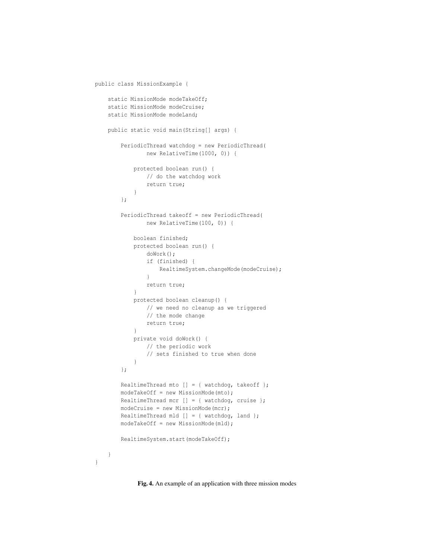```
public class MissionExample {
   static MissionMode modeTakeOff;
   static MissionMode modeCruise;
   static MissionMode modeLand;
   public static void main(String[] args) {
       PeriodicThread watchdog = new PeriodicThread(
               new RelativeTime(1000, 0)) {
           protected boolean run() {
               // do the watchdog work
               return true;
            }
        };
       PeriodicThread takeoff = new PeriodicThread(
               new RelativeTime(100, 0)) {
           boolean finished;
           protected boolean run() {
               doWork();
               if (finished) {
                   RealtimeSystem.changeMode(modeCruise);
                }
               return true;
            }
           protected boolean cleanup() {
               // we need no cleanup as we triggered
               // the mode change
               return true;
            }
           private void doWork() {
               // the periodic work
               // sets finished to true when done
            }
        };
       RealtimeThread mto [] = { watchdog, takeoff };modeTakeOff = new MissionMode(mto);
       RealtimeThread mcr [] = { watchdog, cruise };
       modeCruise = new MissionMode(mcr);
       RealtimeThread mld [] = { watchdog, land };
       modeTakeOff = new MissionMode(mld);
       RealtimeSystem.start(modeTakeOff);
   }
```


}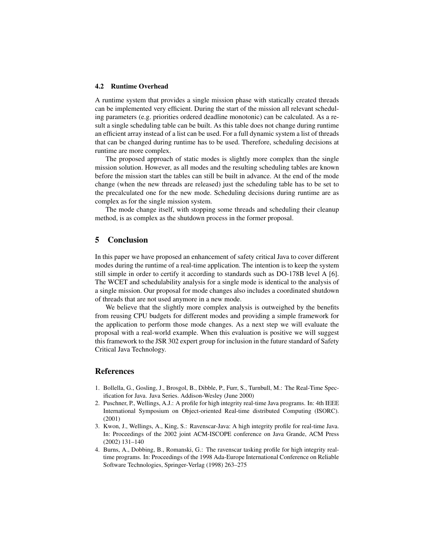#### 4.2 Runtime Overhead

A runtime system that provides a single mission phase with statically created threads can be implemented very efficient. During the start of the mission all relevant scheduling parameters (e.g. priorities ordered deadline monotonic) can be calculated. As a result a single scheduling table can be built. As this table does not change during runtime an efficient array instead of a list can be used. For a full dynamic system a list of threads that can be changed during runtime has to be used. Therefore, scheduling decisions at runtime are more complex.

The proposed approach of static modes is slightly more complex than the single mission solution. However, as all modes and the resulting scheduling tables are known before the mission start the tables can still be built in advance. At the end of the mode change (when the new threads are released) just the scheduling table has to be set to the precalculated one for the new mode. Scheduling decisions during runtime are as complex as for the single mission system.

The mode change itself, with stopping some threads and scheduling their cleanup method, is as complex as the shutdown process in the former proposal.

## 5 Conclusion

In this paper we have proposed an enhancement of safety critical Java to cover different modes during the runtime of a real-time application. The intention is to keep the system still simple in order to certify it according to standards such as DO-178B level A [6]. The WCET and schedulability analysis for a single mode is identical to the analysis of a single mission. Our proposal for mode changes also includes a coordinated shutdown of threads that are not used anymore in a new mode.

We believe that the slightly more complex analysis is outweighed by the benefits from reusing CPU budgets for different modes and providing a simple framework for the application to perform those mode changes. As a next step we will evaluate the proposal with a real-world example. When this evaluation is positive we will suggest this framework to the JSR 302 expert group for inclusion in the future standard of Safety Critical Java Technology.

## References

- 1. Bollella, G., Gosling, J., Brosgol, B., Dibble, P., Furr, S., Turnbull, M.: The Real-Time Specification for Java. Java Series. Addison-Wesley (June 2000)
- 2. Puschner, P., Wellings, A.J.: A profile for high integrity real-time Java programs. In: 4th IEEE International Symposium on Object-oriented Real-time distributed Computing (ISORC). (2001)
- 3. Kwon, J., Wellings, A., King, S.: Ravenscar-Java: A high integrity profile for real-time Java. In: Proceedings of the 2002 joint ACM-ISCOPE conference on Java Grande, ACM Press (2002) 131–140
- 4. Burns, A., Dobbing, B., Romanski, G.: The ravenscar tasking profile for high integrity realtime programs. In: Proceedings of the 1998 Ada-Europe International Conference on Reliable Software Technologies, Springer-Verlag (1998) 263–275